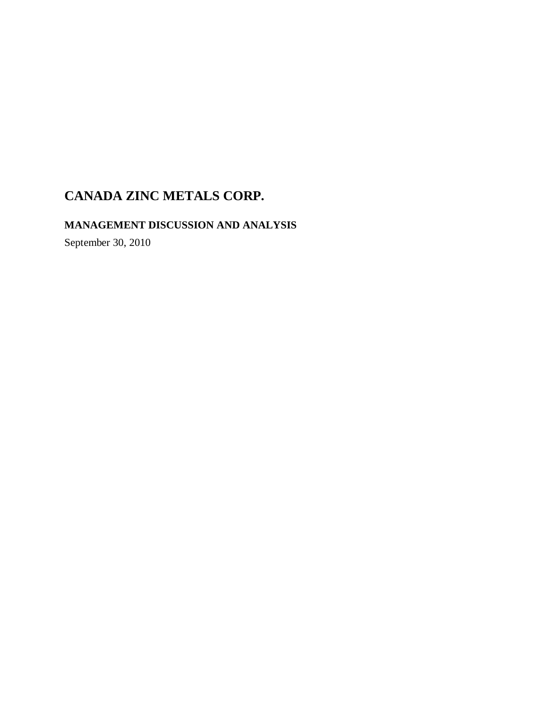### **MANAGEMENT DISCUSSION AND ANALYSIS**

September 30, 2010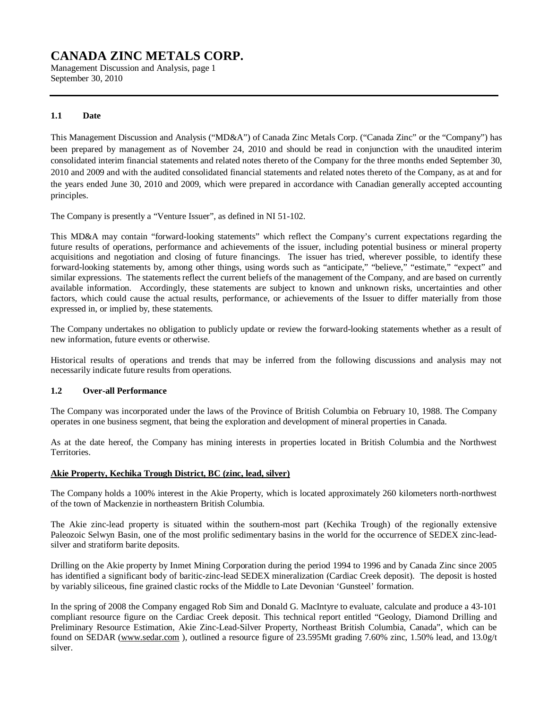Management Discussion and Analysis, page 1 September 30, 2010

### **1.1 Date**

This Management Discussion and Analysis ("MD&A") of Canada Zinc Metals Corp. ("Canada Zinc" or the "Company") has been prepared by management as of November 24, 2010 and should be read in conjunction with the unaudited interim consolidated interim financial statements and related notes thereto of the Company for the three months ended September 30, 2010 and 2009 and with the audited consolidated financial statements and related notes thereto of the Company, as at and for the years ended June 30, 2010 and 2009, which were prepared in accordance with Canadian generally accepted accounting principles.

The Company is presently a "Venture Issuer", as defined in NI 51-102.

This MD&A may contain "forward-looking statements" which reflect the Company's current expectations regarding the future results of operations, performance and achievements of the issuer, including potential business or mineral property acquisitions and negotiation and closing of future financings. The issuer has tried, wherever possible, to identify these forward-looking statements by, among other things, using words such as "anticipate," "believe," "estimate," "expect" and similar expressions. The statements reflect the current beliefs of the management of the Company, and are based on currently available information. Accordingly, these statements are subject to known and unknown risks, uncertainties and other factors, which could cause the actual results, performance, or achievements of the Issuer to differ materially from those expressed in, or implied by, these statements.

The Company undertakes no obligation to publicly update or review the forward-looking statements whether as a result of new information, future events or otherwise.

Historical results of operations and trends that may be inferred from the following discussions and analysis may not necessarily indicate future results from operations.

### **1.2 Over-all Performance**

The Company was incorporated under the laws of the Province of British Columbia on February 10, 1988. The Company operates in one business segment, that being the exploration and development of mineral properties in Canada.

As at the date hereof, the Company has mining interests in properties located in British Columbia and the Northwest Territories.

### **Akie Property, Kechika Trough District, BC (zinc, lead, silver)**

The Company holds a 100% interest in the Akie Property, which is located approximately 260 kilometers north-northwest of the town of Mackenzie in northeastern British Columbia.

The Akie zinc-lead property is situated within the southern-most part (Kechika Trough) of the regionally extensive Paleozoic Selwyn Basin, one of the most prolific sedimentary basins in the world for the occurrence of SEDEX zinc-leadsilver and stratiform barite deposits.

Drilling on the Akie property by Inmet Mining Corporation during the period 1994 to 1996 and by Canada Zinc since 2005 has identified a significant body of baritic-zinc-lead SEDEX mineralization (Cardiac Creek deposit). The deposit is hosted by variably siliceous, fine grained clastic rocks of the Middle to Late Devonian 'Gunsteel' formation.

In the spring of 2008 the Company engaged Rob Sim and Donald G. MacIntyre to evaluate, calculate and produce a 43-101 compliant resource figure on the Cardiac Creek deposit. This technical report entitled "Geology, Diamond Drilling and Preliminary Resource Estimation, Akie Zinc-Lead-Silver Property, Northeast British Columbia, Canada", which can be found on SEDAR [\(www.sedar.com](http://www.sedar.com) ), outlined a resource figure of 23.595Mt grading 7.60% zinc, 1.50% lead, and 13.0g/t silver.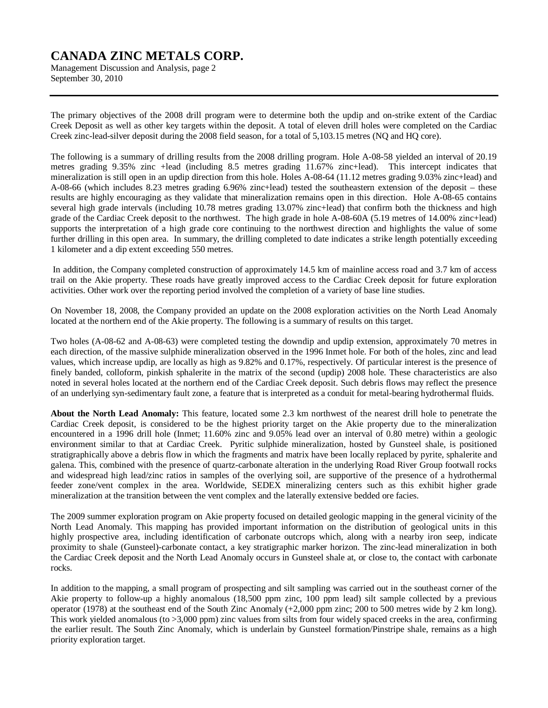Management Discussion and Analysis, page 2 September 30, 2010

The primary objectives of the 2008 drill program were to determine both the updip and on-strike extent of the Cardiac Creek Deposit as well as other key targets within the deposit. A total of eleven drill holes were completed on the Cardiac Creek zinc-lead-silver deposit during the 2008 field season, for a total of 5,103.15 metres (NQ and HQ core).

The following is a summary of drilling results from the 2008 drilling program. Hole A-08-58 yielded an interval of 20.19 metres grading 9.35% zinc +lead (including 8.5 metres grading 11.67% zinc+lead). This intercept indicates that mineralization is still open in an updip direction from this hole. Holes A-08-64 (11.12 metres grading 9.03% zinc+lead) and A-08-66 (which includes 8.23 metres grading 6.96% zinc+lead) tested the southeastern extension of the deposit – these results are highly encouraging as they validate that mineralization remains open in this direction. Hole A-08-65 contains several high grade intervals (including 10.78 metres grading 13.07% zinc+lead) that confirm both the thickness and high grade of the Cardiac Creek deposit to the northwest. The high grade in hole A-08-60A (5.19 metres of 14.00% zinc+lead) supports the interpretation of a high grade core continuing to the northwest direction and highlights the value of some further drilling in this open area. In summary, the drilling completed to date indicates a strike length potentially exceeding 1 kilometer and a dip extent exceeding 550 metres.

In addition, the Company completed construction of approximately 14.5 km of mainline access road and 3.7 km of access trail on the Akie property. These roads have greatly improved access to the Cardiac Creek deposit for future exploration activities. Other work over the reporting period involved the completion of a variety of base line studies.

On November 18, 2008, the Company provided an update on the 2008 exploration activities on the North Lead Anomaly located at the northern end of the Akie property. The following is a summary of results on this target.

Two holes (A-08-62 and A-08-63) were completed testing the downdip and updip extension, approximately 70 metres in each direction, of the massive sulphide mineralization observed in the 1996 Inmet hole. For both of the holes, zinc and lead values, which increase updip, are locally as high as 9.82% and 0.17%, respectively. Of particular interest is the presence of finely banded, colloform, pinkish sphalerite in the matrix of the second (updip) 2008 hole. These characteristics are also noted in several holes located at the northern end of the Cardiac Creek deposit. Such debris flows may reflect the presence of an underlying syn-sedimentary fault zone, a feature that is interpreted as a conduit for metal-bearing hydrothermal fluids.

**About the North Lead Anomaly:** This feature, located some 2.3 km northwest of the nearest drill hole to penetrate the Cardiac Creek deposit, is considered to be the highest priority target on the Akie property due to the mineralization encountered in a 1996 drill hole (Inmet; 11.60% zinc and 9.05% lead over an interval of 0.80 metre) within a geologic environment similar to that at Cardiac Creek. Pyritic sulphide mineralization, hosted by Gunsteel shale, is positioned stratigraphically above a debris flow in which the fragments and matrix have been locally replaced by pyrite, sphalerite and galena. This, combined with the presence of quartz-carbonate alteration in the underlying Road River Group footwall rocks and widespread high lead/zinc ratios in samples of the overlying soil, are supportive of the presence of a hydrothermal feeder zone/vent complex in the area. Worldwide, SEDEX mineralizing centers such as this exhibit higher grade mineralization at the transition between the vent complex and the laterally extensive bedded ore facies.

The 2009 summer exploration program on Akie property focused on detailed geologic mapping in the general vicinity of the North Lead Anomaly. This mapping has provided important information on the distribution of geological units in this highly prospective area, including identification of carbonate outcrops which, along with a nearby iron seep, indicate proximity to shale (Gunsteel)-carbonate contact, a key stratigraphic marker horizon. The zinc-lead mineralization in both the Cardiac Creek deposit and the North Lead Anomaly occurs in Gunsteel shale at, or close to, the contact with carbonate rocks.

In addition to the mapping, a small program of prospecting and silt sampling was carried out in the southeast corner of the Akie property to follow-up a highly anomalous (18,500 ppm zinc, 100 ppm lead) silt sample collected by a previous operator (1978) at the southeast end of the South Zinc Anomaly (+2,000 ppm zinc; 200 to 500 metres wide by 2 km long). This work yielded anomalous (to >3,000 ppm) zinc values from silts from four widely spaced creeks in the area, confirming the earlier result. The South Zinc Anomaly, which is underlain by Gunsteel formation/Pinstripe shale, remains as a high priority exploration target.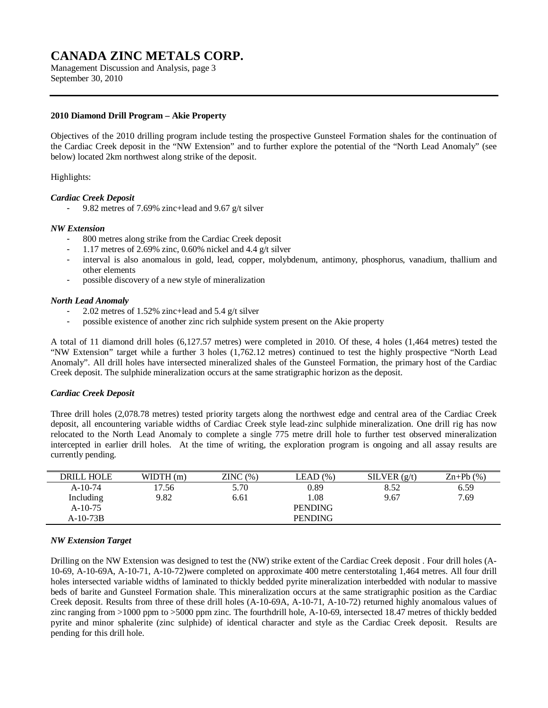Management Discussion and Analysis, page 3 September 30, 2010

### **2010 Diamond Drill Program – Akie Property**

Objectives of the 2010 drilling program include testing the prospective Gunsteel Formation shales for the continuation of the Cardiac Creek deposit in the "NW Extension" and to further explore the potential of the "North Lead Anomaly" (see below) located 2km northwest along strike of the deposit.

#### Highlights:

#### *Cardiac Creek Deposit*

- 9.82 metres of 7.69% zinc+lead and 9.67 g/t silver

#### *NW Extension*

- 800 metres along strike from the Cardiac Creek deposit
- 1.17 metres of 2.69% zinc, 0.60% nickel and 4.4 g/t silver
- interval is also anomalous in gold, lead, copper, molybdenum, antimony, phosphorus, vanadium, thallium and other elements
- possible discovery of a new style of mineralization

#### *North Lead Anomaly*

- 2.02 metres of 1.52% zinc+lead and 5.4 g/t silver
- possible existence of another zinc rich sulphide system present on the Akie property

A total of 11 diamond drill holes (6,127.57 metres) were completed in 2010. Of these, 4 holes (1,464 metres) tested the "NW Extension" target while a further 3 holes (1,762.12 metres) continued to test the highly prospective "North Lead Anomaly". All drill holes have intersected mineralized shales of the Gunsteel Formation, the primary host of the Cardiac Creek deposit. The sulphide mineralization occurs at the same stratigraphic horizon as the deposit.

### *Cardiac Creek Deposit*

Three drill holes (2,078.78 metres) tested priority targets along the northwest edge and central area of the Cardiac Creek deposit, all encountering variable widths of Cardiac Creek style lead-zinc sulphide mineralization. One drill rig has now relocated to the North Lead Anomaly to complete a single 775 metre drill hole to further test observed mineralization intercepted in earlier drill holes. At the time of writing, the exploration program is ongoing and all assay results are currently pending.

| 5.70<br>0.89<br>$A-10-74$<br>8.52<br>6.59<br>17.56<br>9.82<br>1.08<br>7.69<br>Including<br>9.67<br>6.61 | $\text{Zn+Pb}$ $(\% )$ |
|---------------------------------------------------------------------------------------------------------|------------------------|
|                                                                                                         |                        |
|                                                                                                         |                        |
| <b>PENDING</b><br>$A-10-75$                                                                             |                        |
| <b>PENDING</b><br>$A-10-73B$                                                                            |                        |

### *NW Extension Target*

Drilling on the NW Extension was designed to test the (NW) strike extent of the Cardiac Creek deposit . Four drill holes (A-10-69, A-10-69A, A-10-71, A-10-72)were completed on approximate 400 metre centerstotaling 1,464 metres. All four drill holes intersected variable widths of laminated to thickly bedded pyrite mineralization interbedded with nodular to massive beds of barite and Gunsteel Formation shale. This mineralization occurs at the same stratigraphic position as the Cardiac Creek deposit. Results from three of these drill holes (A-10-69A, A-10-71, A-10-72) returned highly anomalous values of zinc ranging from >1000 ppm to >5000 ppm zinc. The fourthdrill hole, A-10-69, intersected 18.47 metres of thickly bedded pyrite and minor sphalerite (zinc sulphide) of identical character and style as the Cardiac Creek deposit. Results are pending for this drill hole.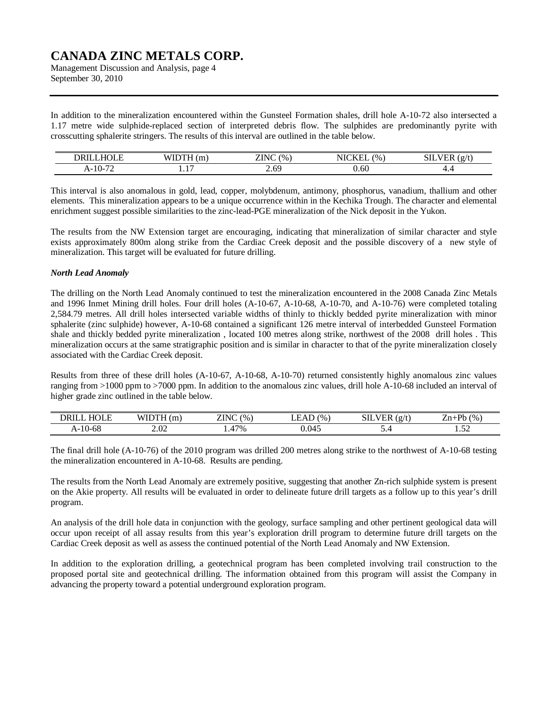Management Discussion and Analysis, page 4 September 30, 2010

In addition to the mineralization encountered within the Gunsteel Formation shales, drill hole A-10-72 also intersected a 1.17 metre wide sulphide-replaced section of interpreted debris flow. The sulphides are predominantly pyrite with crosscutting sphalerite stringers. The results of this interval are outlined in the table below.

| <u>—</u><br>ו חר                   | $- - - - -$<br>, , , , | $-$<br>7N <sub>1</sub><br>$\frac{1}{2}$<br>- 11 | ----<br>$\frac{6}{9}$ | $\sim$<br>$\sim$<br>ЫL<br>. .<br>-<br>$\sim$ |
|------------------------------------|------------------------|-------------------------------------------------|-----------------------|----------------------------------------------|
| $\Omega$ $\pi$<br>$10-$<br>л-<br>. | -<br>.                 | ี                                               | J.OU                  |                                              |

This interval is also anomalous in gold, lead, copper, molybdenum, antimony, phosphorus, vanadium, thallium and other elements. This mineralization appears to be a unique occurrence within in the Kechika Trough. The character and elemental enrichment suggest possible similarities to the zinc-lead-PGE mineralization of the Nick deposit in the Yukon.

The results from the NW Extension target are encouraging, indicating that mineralization of similar character and style exists approximately 800m along strike from the Cardiac Creek deposit and the possible discovery of a new style of mineralization. This target will be evaluated for future drilling.

### *North Lead Anomaly*

The drilling on the North Lead Anomaly continued to test the mineralization encountered in the 2008 Canada Zinc Metals and 1996 Inmet Mining drill holes. Four drill holes (A-10-67, A-10-68, A-10-70, and A-10-76) were completed totaling 2,584.79 metres. All drill holes intersected variable widths of thinly to thickly bedded pyrite mineralization with minor sphalerite (zinc sulphide) however, A-10-68 contained a significant 126 metre interval of interbedded Gunsteel Formation shale and thickly bedded pyrite mineralization , located 100 metres along strike, northwest of the 2008 drill holes . This mineralization occurs at the same stratigraphic position and is similar in character to that of the pyrite mineralization closely associated with the Cardiac Creek deposit.

Results from three of these drill holes (A-10-67, A-10-68, A-10-70) returned consistently highly anomalous zinc values ranging from >1000 ppm to >7000 ppm. In addition to the anomalous zinc values, drill hole A-10-68 included an interval of higher grade zinc outlined in the table below.

| HUL E<br>DRII | <b>TUTTOTT</b><br>W<br>(m | <b>ZINC</b><br>$\frac{1}{2}$ | $\frac{1}{2}$ | $\sim$<br>$\alpha$ /<br>SП | Dh<br>(0/6)    |
|---------------|---------------------------|------------------------------|---------------|----------------------------|----------------|
| $A-10-68$     | $\sim$ $\sim$<br>2.UZ     | $17\%$<br>$\sqrt{2}$         | 0.045         | ⊶.ر                        | $\sim$<br>1.JA |

The final drill hole (A-10-76) of the 2010 program was drilled 200 metres along strike to the northwest of A-10-68 testing the mineralization encountered in A-10-68. Results are pending.

The results from the North Lead Anomaly are extremely positive, suggesting that another Zn-rich sulphide system is present on the Akie property. All results will be evaluated in order to delineate future drill targets as a follow up to this year's drill program.

An analysis of the drill hole data in conjunction with the geology, surface sampling and other pertinent geological data will occur upon receipt of all assay results from this year's exploration drill program to determine future drill targets on the Cardiac Creek deposit as well as assess the continued potential of the North Lead Anomaly and NW Extension.

In addition to the exploration drilling, a geotechnical program has been completed involving trail construction to the proposed portal site and geotechnical drilling. The information obtained from this program will assist the Company in advancing the property toward a potential underground exploration program.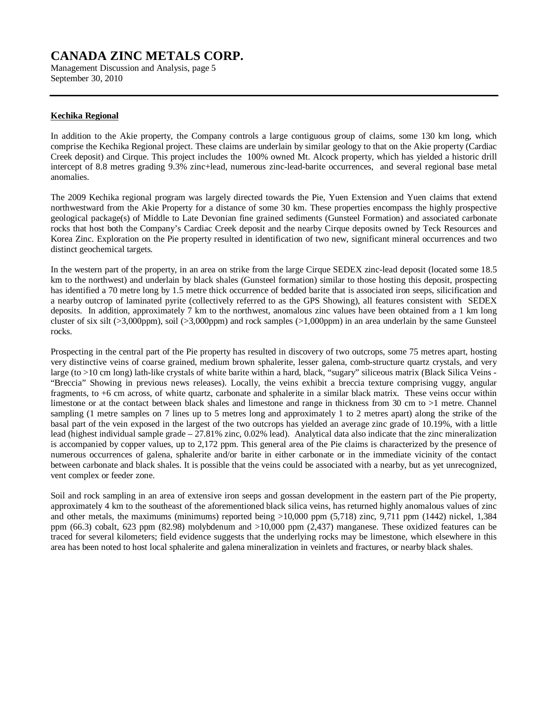Management Discussion and Analysis, page 5 September 30, 2010

### **Kechika Regional**

In addition to the Akie property, the Company controls a large contiguous group of claims, some 130 km long, which comprise the Kechika Regional project. These claims are underlain by similar geology to that on the Akie property (Cardiac Creek deposit) and Cirque. This project includes the 100% owned Mt. Alcock property, which has yielded a historic drill intercept of 8.8 metres grading 9.3% zinc+lead, numerous zinc-lead-barite occurrences, and several regional base metal anomalies.

The 2009 Kechika regional program was largely directed towards the Pie, Yuen Extension and Yuen claims that extend northwestward from the Akie Property for a distance of some 30 km. These properties encompass the highly prospective geological package(s) of Middle to Late Devonian fine grained sediments (Gunsteel Formation) and associated carbonate rocks that host both the Company's Cardiac Creek deposit and the nearby Cirque deposits owned by Teck Resources and Korea Zinc. Exploration on the Pie property resulted in identification of two new, significant mineral occurrences and two distinct geochemical targets.

In the western part of the property, in an area on strike from the large Cirque SEDEX zinc-lead deposit (located some 18.5 km to the northwest) and underlain by black shales (Gunsteel formation) similar to those hosting this deposit, prospecting has identified a 70 metre long by 1.5 metre thick occurrence of bedded barite that is associated iron seeps, silicification and a nearby outcrop of laminated pyrite (collectively referred to as the GPS Showing), all features consistent with SEDEX deposits. In addition, approximately 7 km to the northwest, anomalous zinc values have been obtained from a 1 km long cluster of six silt ( $>3,000$ ppm), soil ( $>3,000$ ppm) and rock samples ( $>1,000$ ppm) in an area underlain by the same Gunsteel rocks.

Prospecting in the central part of the Pie property has resulted in discovery of two outcrops, some 75 metres apart, hosting very distinctive veins of coarse grained, medium brown sphalerite, lesser galena, comb-structure quartz crystals, and very large (to >10 cm long) lath-like crystals of white barite within a hard, black, "sugary" siliceous matrix (Black Silica Veins -"Breccia" Showing in previous news releases). Locally, the veins exhibit a breccia texture comprising vuggy, angular fragments, to +6 cm across, of white quartz, carbonate and sphalerite in a similar black matrix. These veins occur within limestone or at the contact between black shales and limestone and range in thickness from 30 cm to >1 metre. Channel sampling (1 metre samples on 7 lines up to 5 metres long and approximately 1 to 2 metres apart) along the strike of the basal part of the vein exposed in the largest of the two outcrops has yielded an average zinc grade of 10.19%, with a little lead (highest individual sample grade – 27.81% zinc, 0.02% lead). Analytical data also indicate that the zinc mineralization is accompanied by copper values, up to 2,172 ppm. This general area of the Pie claims is characterized by the presence of numerous occurrences of galena, sphalerite and/or barite in either carbonate or in the immediate vicinity of the contact between carbonate and black shales. It is possible that the veins could be associated with a nearby, but as yet unrecognized, vent complex or feeder zone.

Soil and rock sampling in an area of extensive iron seeps and gossan development in the eastern part of the Pie property, approximately 4 km to the southeast of the aforementioned black silica veins, has returned highly anomalous values of zinc and other metals, the maximums (minimums) reported being >10,000 ppm (5,718) zinc, 9,711 ppm (1442) nickel, 1,384 ppm (66.3) cobalt, 623 ppm (82.98) molybdenum and >10,000 ppm (2,437) manganese. These oxidized features can be traced for several kilometers; field evidence suggests that the underlying rocks may be limestone, which elsewhere in this area has been noted to host local sphalerite and galena mineralization in veinlets and fractures, or nearby black shales.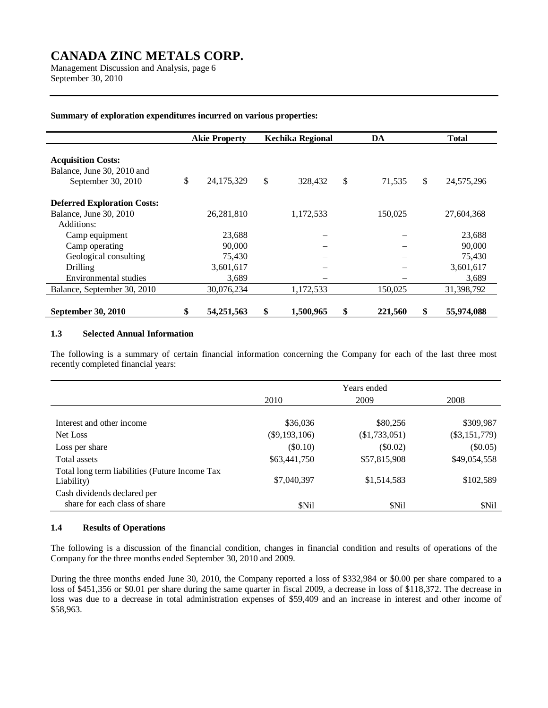Management Discussion and Analysis, page 6 September 30, 2010

#### **Summary of exploration expenditures incurred on various properties:**

|                                                                               | <b>Akie Property</b> |            |    | DA<br><b>Kechika Regional</b> |              |         | <b>Total</b> |            |
|-------------------------------------------------------------------------------|----------------------|------------|----|-------------------------------|--------------|---------|--------------|------------|
| <b>Acquisition Costs:</b><br>Balance, June 30, 2010 and<br>September 30, 2010 | \$                   | 24,175,329 | \$ | 328,432                       | $\mathbb{S}$ | 71,535  | \$           | 24,575,296 |
| <b>Deferred Exploration Costs:</b>                                            |                      |            |    |                               |              |         |              |            |
| Balance, June 30, 2010                                                        |                      | 26,281,810 |    | 1,172,533                     |              | 150,025 |              | 27,604,368 |
| Additions:                                                                    |                      |            |    |                               |              |         |              |            |
| Camp equipment                                                                |                      | 23,688     |    |                               |              |         |              | 23,688     |
| Camp operating                                                                |                      | 90,000     |    |                               |              |         |              | 90,000     |
| Geological consulting                                                         |                      | 75,430     |    |                               |              |         |              | 75,430     |
| Drilling                                                                      |                      | 3,601,617  |    |                               |              |         |              | 3,601,617  |
| Environmental studies                                                         |                      | 3,689      |    |                               |              |         |              | 3,689      |
| Balance, September 30, 2010                                                   |                      | 30,076,234 |    | 1,172,533                     |              | 150,025 |              | 31,398,792 |
| September 30, 2010                                                            | \$                   | 54,251,563 | \$ | 1,500,965                     | \$           | 221,560 | \$           | 55,974,088 |

#### **1.3 Selected Annual Information**

The following is a summary of certain financial information concerning the Company for each of the last three most recently completed financial years:

|                                                              |                 | Years ended   |                 |
|--------------------------------------------------------------|-----------------|---------------|-----------------|
|                                                              | 2010            | 2009          | 2008            |
|                                                              |                 |               |                 |
| Interest and other income                                    | \$36,036        | \$80,256      | \$309,987       |
| Net Loss                                                     | $(\$9,193,106)$ | (\$1,733,051) | $(\$3,151,779)$ |
| Loss per share                                               | (\$0.10)        | $(\$0.02)$    | $(\$0.05)$      |
| Total assets                                                 | \$63,441,750    | \$57,815,908  | \$49,054,558    |
| Total long term liabilities (Future Income Tax<br>Liability) | \$7,040,397     | \$1,514,583   | \$102,589       |
| Cash dividends declared per<br>share for each class of share | \$Nil           | \$Nil         | \$Nil           |

#### **1.4 Results of Operations**

The following is a discussion of the financial condition, changes in financial condition and results of operations of the Company for the three months ended September 30, 2010 and 2009.

During the three months ended June 30, 2010, the Company reported a loss of \$332,984 or \$0.00 per share compared to a loss of \$451,356 or \$0.01 per share during the same quarter in fiscal 2009, a decrease in loss of \$118,372. The decrease in loss was due to a decrease in total administration expenses of \$59,409 and an increase in interest and other income of \$58,963.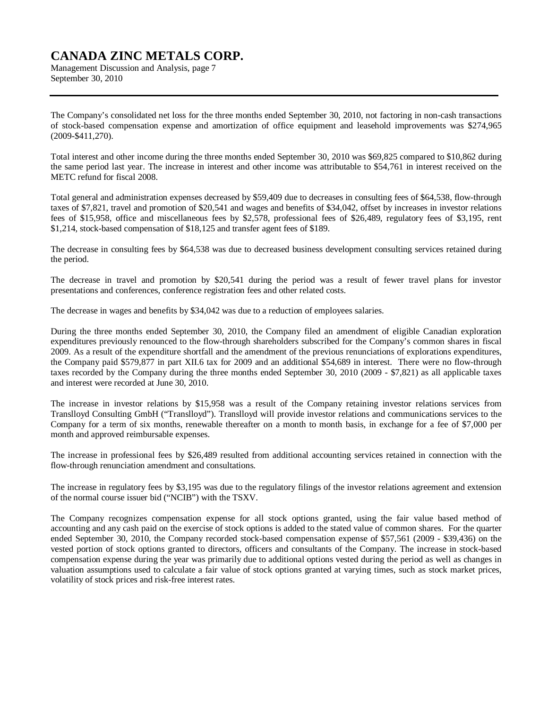Management Discussion and Analysis, page 7 September 30, 2010

The Company's consolidated net loss for the three months ended September 30, 2010, not factoring in non-cash transactions of stock-based compensation expense and amortization of office equipment and leasehold improvements was \$274,965 (2009-\$411,270).

Total interest and other income during the three months ended September 30, 2010 was \$69,825 compared to \$10,862 during the same period last year. The increase in interest and other income was attributable to \$54,761 in interest received on the METC refund for fiscal 2008.

Total general and administration expenses decreased by \$59,409 due to decreases in consulting fees of \$64,538, flow-through taxes of \$7,821, travel and promotion of \$20,541 and wages and benefits of \$34,042, offset by increases in investor relations fees of \$15,958, office and miscellaneous fees by \$2,578, professional fees of \$26,489, regulatory fees of \$3,195, rent \$1,214, stock-based compensation of \$18,125 and transfer agent fees of \$189.

The decrease in consulting fees by \$64,538 was due to decreased business development consulting services retained during the period.

The decrease in travel and promotion by \$20,541 during the period was a result of fewer travel plans for investor presentations and conferences, conference registration fees and other related costs.

The decrease in wages and benefits by \$34,042 was due to a reduction of employees salaries.

During the three months ended September 30, 2010, the Company filed an amendment of eligible Canadian exploration expenditures previously renounced to the flow-through shareholders subscribed for the Company's common shares in fiscal 2009. As a result of the expenditure shortfall and the amendment of the previous renunciations of explorations expenditures, the Company paid \$579,877 in part XII.6 tax for 2009 and an additional \$54,689 in interest. There were no flow-through taxes recorded by the Company during the three months ended September 30, 2010 (2009 - \$7,821) as all applicable taxes and interest were recorded at June 30, 2010.

The increase in investor relations by \$15,958 was a result of the Company retaining investor relations services from Translloyd Consulting GmbH ("Translloyd"). Translloyd will provide investor relations and communications services to the Company for a term of six months, renewable thereafter on a month to month basis, in exchange for a fee of \$7,000 per month and approved reimbursable expenses.

The increase in professional fees by \$26,489 resulted from additional accounting services retained in connection with the flow-through renunciation amendment and consultations.

The increase in regulatory fees by \$3,195 was due to the regulatory filings of the investor relations agreement and extension of the normal course issuer bid ("NCIB") with the TSXV.

The Company recognizes compensation expense for all stock options granted, using the fair value based method of accounting and any cash paid on the exercise of stock options is added to the stated value of common shares. For the quarter ended September 30, 2010, the Company recorded stock-based compensation expense of \$57,561 (2009 - \$39,436) on the vested portion of stock options granted to directors, officers and consultants of the Company. The increase in stock-based compensation expense during the year was primarily due to additional options vested during the period as well as changes in valuation assumptions used to calculate a fair value of stock options granted at varying times, such as stock market prices, volatility of stock prices and risk-free interest rates.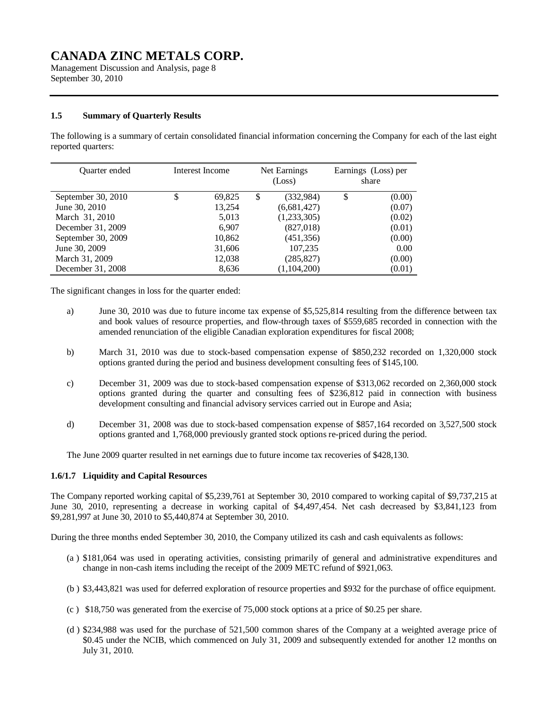Management Discussion and Analysis, page 8 September 30, 2010

### **1.5 Summary of Quarterly Results**

The following is a summary of certain consolidated financial information concerning the Company for each of the last eight reported quarters:

| <b>Ouarter</b> ended | Interest Income | Net Earnings<br>(Loss) |             | Earnings (Loss) per<br>share |
|----------------------|-----------------|------------------------|-------------|------------------------------|
| September 30, 2010   | \$<br>69,825    | \$                     | (332,984)   | \$<br>(0.00)                 |
| June 30, 2010        | 13,254          |                        | (6,681,427) | (0.07)                       |
| March 31, 2010       | 5,013           |                        | (1,233,305) | (0.02)                       |
| December 31, 2009    | 6.907           |                        | (827,018)   | (0.01)                       |
| September 30, 2009   | 10,862          |                        | (451, 356)  | (0.00)                       |
| June 30, 2009        | 31,606          |                        | 107,235     | 0.00                         |
| March 31, 2009       | 12,038          |                        | (285, 827)  | (0.00)                       |
| December 31, 2008    | 8,636           |                        | (1,104,200) | (0.01)                       |

The significant changes in loss for the quarter ended:

- a) June 30, 2010 was due to future income tax expense of \$5,525,814 resulting from the difference between tax and book values of resource properties, and flow-through taxes of \$559,685 recorded in connection with the amended renunciation of the eligible Canadian exploration expenditures for fiscal 2008;
- b) March 31, 2010 was due to stock-based compensation expense of \$850,232 recorded on 1,320,000 stock options granted during the period and business development consulting fees of \$145,100.
- c) December 31, 2009 was due to stock-based compensation expense of \$313,062 recorded on 2,360,000 stock options granted during the quarter and consulting fees of \$236,812 paid in connection with business development consulting and financial advisory services carried out in Europe and Asia;
- d) December 31, 2008 was due to stock-based compensation expense of \$857,164 recorded on 3,527,500 stock options granted and 1,768,000 previously granted stock options re-priced during the period.

The June 2009 quarter resulted in net earnings due to future income tax recoveries of \$428,130.

### **1.6/1.7 Liquidity and Capital Resources**

The Company reported working capital of \$5,239,761 at September 30, 2010 compared to working capital of \$9,737,215 at June 30, 2010, representing a decrease in working capital of \$4,497,454. Net cash decreased by \$3,841,123 from \$9,281,997 at June 30, 2010 to \$5,440,874 at September 30, 2010.

During the three months ended September 30, 2010, the Company utilized its cash and cash equivalents as follows:

- (a ) \$181,064 was used in operating activities, consisting primarily of general and administrative expenditures and change in non-cash items including the receipt of the 2009 METC refund of \$921,063.
- (b ) \$3,443,821 was used for deferred exploration of resource properties and \$932 for the purchase of office equipment.
- (c ) \$18,750 was generated from the exercise of 75,000 stock options at a price of \$0.25 per share.
- (d ) \$234,988 was used for the purchase of 521,500 common shares of the Company at a weighted average price of \$0.45 under the NCIB, which commenced on July 31, 2009 and subsequently extended for another 12 months on July 31, 2010.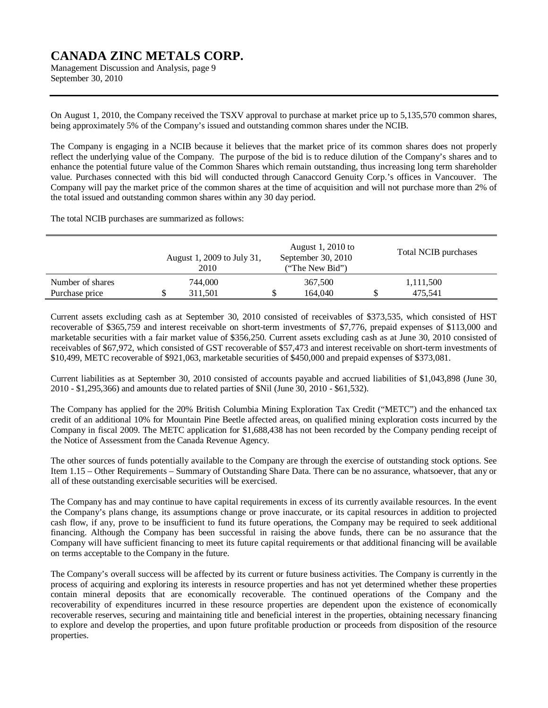Management Discussion and Analysis, page 9 September 30, 2010

On August 1, 2010, the Company received the TSXV approval to purchase at market price up to 5,135,570 common shares, being approximately 5% of the Company's issued and outstanding common shares under the NCIB.

The Company is engaging in a NCIB because it believes that the market price of its common shares does not properly reflect the underlying value of the Company. The purpose of the bid is to reduce dilution of the Company's shares and to enhance the potential future value of the Common Shares which remain outstanding, thus increasing long term shareholder value. Purchases connected with this bid will conducted through Canaccord Genuity Corp.'s offices in Vancouver. The Company will pay the market price of the common shares at the time of acquisition and will not purchase more than 2% of the total issued and outstanding common shares within any 30 day period.

The total NCIB purchases are summarized as follows:

|                  | August 1, 2009 to July 31,<br>2010 | August 1, 2010 to<br>September 30, 2010<br>("The New Bid") |         | Total NCIB purchases |           |  |
|------------------|------------------------------------|------------------------------------------------------------|---------|----------------------|-----------|--|
| Number of shares | 744,000                            |                                                            | 367,500 |                      | 1,111,500 |  |
| Purchase price   | 311.501                            |                                                            | 164,040 |                      | 475.541   |  |

Current assets excluding cash as at September 30, 2010 consisted of receivables of \$373,535, which consisted of HST recoverable of \$365,759 and interest receivable on short-term investments of \$7,776, prepaid expenses of \$113,000 and marketable securities with a fair market value of \$356,250. Current assets excluding cash as at June 30, 2010 consisted of receivables of \$67,972, which consisted of GST recoverable of \$57,473 and interest receivable on short-term investments of \$10,499, METC recoverable of \$921,063, marketable securities of \$450,000 and prepaid expenses of \$373,081.

Current liabilities as at September 30, 2010 consisted of accounts payable and accrued liabilities of \$1,043,898 (June 30, 2010 - \$1,295,366) and amounts due to related parties of \$Nil (June 30, 2010 - \$61,532).

The Company has applied for the 20% British Columbia Mining Exploration Tax Credit ("METC") and the enhanced tax credit of an additional 10% for Mountain Pine Beetle affected areas, on qualified mining exploration costs incurred by the Company in fiscal 2009. The METC application for \$1,688,438 has not been recorded by the Company pending receipt of the Notice of Assessment from the Canada Revenue Agency.

The other sources of funds potentially available to the Company are through the exercise of outstanding stock options. See Item 1.15 – Other Requirements – Summary of Outstanding Share Data. There can be no assurance, whatsoever, that any or all of these outstanding exercisable securities will be exercised.

The Company has and may continue to have capital requirements in excess of its currently available resources. In the event the Company's plans change, its assumptions change or prove inaccurate, or its capital resources in addition to projected cash flow, if any, prove to be insufficient to fund its future operations, the Company may be required to seek additional financing. Although the Company has been successful in raising the above funds, there can be no assurance that the Company will have sufficient financing to meet its future capital requirements or that additional financing will be available on terms acceptable to the Company in the future.

The Company's overall success will be affected by its current or future business activities. The Company is currently in the process of acquiring and exploring its interests in resource properties and has not yet determined whether these properties contain mineral deposits that are economically recoverable. The continued operations of the Company and the recoverability of expenditures incurred in these resource properties are dependent upon the existence of economically recoverable reserves, securing and maintaining title and beneficial interest in the properties, obtaining necessary financing to explore and develop the properties, and upon future profitable production or proceeds from disposition of the resource properties.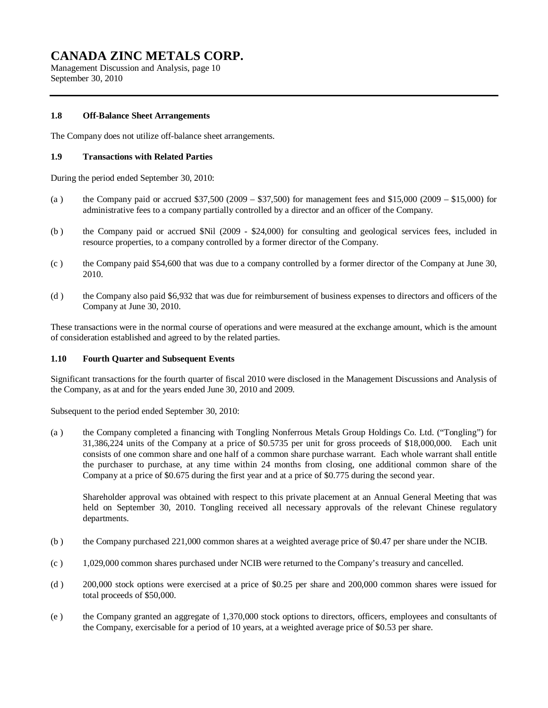Management Discussion and Analysis, page 10 September 30, 2010

### **1.8 Off-Balance Sheet Arrangements**

The Company does not utilize off-balance sheet arrangements.

### **1.9 Transactions with Related Parties**

During the period ended September 30, 2010:

- (a) the Company paid or accrued  $$37,500 (2009 $37,500)$  for management fees and \$15,000 (2009 \$15,000) for administrative fees to a company partially controlled by a director and an officer of the Company.
- (b ) the Company paid or accrued \$Nil (2009 \$24,000) for consulting and geological services fees, included in resource properties, to a company controlled by a former director of the Company.
- (c ) the Company paid \$54,600 that was due to a company controlled by a former director of the Company at June 30, 2010.
- (d ) the Company also paid \$6,932 that was due for reimbursement of business expenses to directors and officers of the Company at June 30, 2010.

These transactions were in the normal course of operations and were measured at the exchange amount, which is the amount of consideration established and agreed to by the related parties.

### **1.10 Fourth Quarter and Subsequent Events**

Significant transactions for the fourth quarter of fiscal 2010 were disclosed in the Management Discussions and Analysis of the Company, as at and for the years ended June 30, 2010 and 2009.

Subsequent to the period ended September 30, 2010:

(a ) the Company completed a financing with Tongling Nonferrous Metals Group Holdings Co. Ltd. ("Tongling") for 31,386,224 units of the Company at a price of \$0.5735 per unit for gross proceeds of \$18,000,000. Each unit consists of one common share and one half of a common share purchase warrant. Each whole warrant shall entitle the purchaser to purchase, at any time within 24 months from closing, one additional common share of the Company at a price of \$0.675 during the first year and at a price of \$0.775 during the second year.

Shareholder approval was obtained with respect to this private placement at an Annual General Meeting that was held on September 30, 2010. Tongling received all necessary approvals of the relevant Chinese regulatory departments.

- (b ) the Company purchased 221,000 common shares at a weighted average price of \$0.47 per share under the NCIB.
- (c ) 1,029,000 common shares purchased under NCIB were returned to the Company's treasury and cancelled.
- (d ) 200,000 stock options were exercised at a price of \$0.25 per share and 200,000 common shares were issued for total proceeds of \$50,000.
- (e ) the Company granted an aggregate of 1,370,000 stock options to directors, officers, employees and consultants of the Company, exercisable for a period of 10 years, at a weighted average price of \$0.53 per share.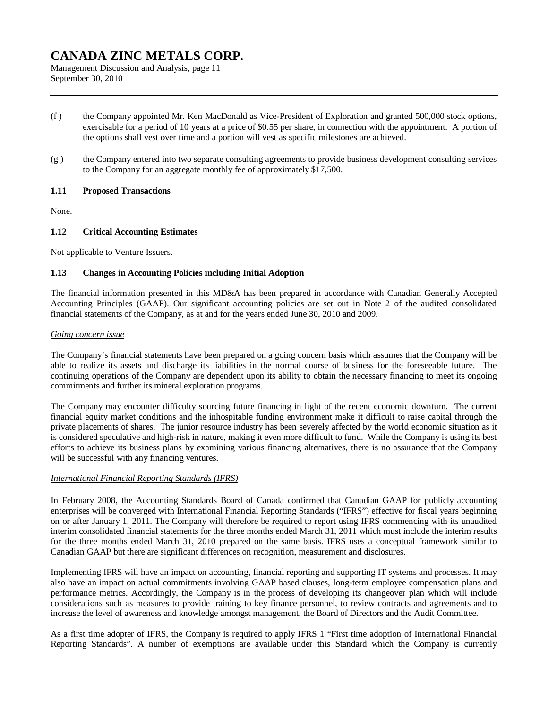Management Discussion and Analysis, page 11 September 30, 2010

- (f ) the Company appointed Mr. Ken MacDonald as Vice-President of Exploration and granted 500,000 stock options, exercisable for a period of 10 years at a price of \$0.55 per share, in connection with the appointment. A portion of the options shall vest over time and a portion will vest as specific milestones are achieved.
- (g ) the Company entered into two separate consulting agreements to provide business development consulting services to the Company for an aggregate monthly fee of approximately \$17,500.

#### **1.11 Proposed Transactions**

None.

### **1.12 Critical Accounting Estimates**

Not applicable to Venture Issuers.

### **1.13 Changes in Accounting Policies including Initial Adoption**

The financial information presented in this MD&A has been prepared in accordance with Canadian Generally Accepted Accounting Principles (GAAP). Our significant accounting policies are set out in Note 2 of the audited consolidated financial statements of the Company, as at and for the years ended June 30, 2010 and 2009.

#### *Going concern issue*

The Company's financial statements have been prepared on a going concern basis which assumes that the Company will be able to realize its assets and discharge its liabilities in the normal course of business for the foreseeable future. The continuing operations of the Company are dependent upon its ability to obtain the necessary financing to meet its ongoing commitments and further its mineral exploration programs.

The Company may encounter difficulty sourcing future financing in light of the recent economic downturn. The current financial equity market conditions and the inhospitable funding environment make it difficult to raise capital through the private placements of shares. The junior resource industry has been severely affected by the world economic situation as it is considered speculative and high-risk in nature, making it even more difficult to fund. While the Company is using its best efforts to achieve its business plans by examining various financing alternatives, there is no assurance that the Company will be successful with any financing ventures.

### *International Financial Reporting Standards (IFRS)*

In February 2008, the Accounting Standards Board of Canada confirmed that Canadian GAAP for publicly accounting enterprises will be converged with International Financial Reporting Standards ("IFRS") effective for fiscal years beginning on or after January 1, 2011. The Company will therefore be required to report using IFRS commencing with its unaudited interim consolidated financial statements for the three months ended March 31, 2011 which must include the interim results for the three months ended March 31, 2010 prepared on the same basis. IFRS uses a conceptual framework similar to Canadian GAAP but there are significant differences on recognition, measurement and disclosures.

Implementing IFRS will have an impact on accounting, financial reporting and supporting IT systems and processes. It may also have an impact on actual commitments involving GAAP based clauses, long-term employee compensation plans and performance metrics. Accordingly, the Company is in the process of developing its changeover plan which will include considerations such as measures to provide training to key finance personnel, to review contracts and agreements and to increase the level of awareness and knowledge amongst management, the Board of Directors and the Audit Committee.

As a first time adopter of IFRS, the Company is required to apply IFRS 1 "First time adoption of International Financial Reporting Standards". A number of exemptions are available under this Standard which the Company is currently